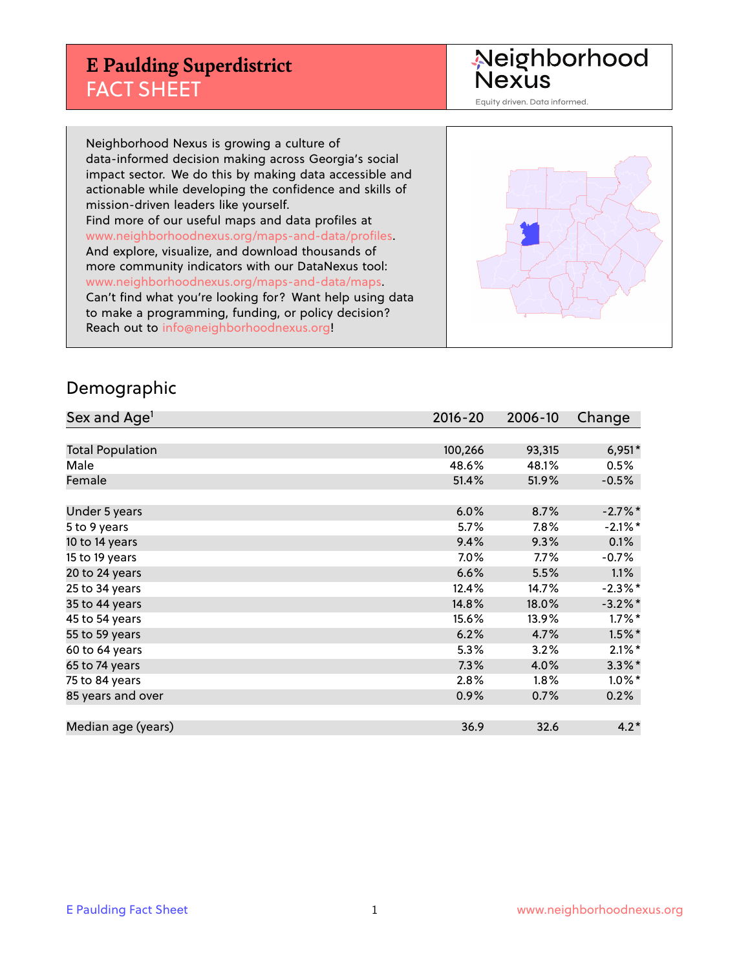## **E Paulding Superdistrict** FACT SHEET

Neighborhood<br>Nexus

Equity driven. Data informed.

Neighborhood Nexus is growing a culture of data-informed decision making across Georgia's social impact sector. We do this by making data accessible and actionable while developing the confidence and skills of mission-driven leaders like yourself. Find more of our useful maps and data profiles at www.neighborhoodnexus.org/maps-and-data/profiles. And explore, visualize, and download thousands of more community indicators with our DataNexus tool: www.neighborhoodnexus.org/maps-and-data/maps. Can't find what you're looking for? Want help using data to make a programming, funding, or policy decision? Reach out to [info@neighborhoodnexus.org!](mailto:info@neighborhoodnexus.org)



### Demographic

| Sex and Age <sup>1</sup> | $2016 - 20$ | 2006-10 | Change     |
|--------------------------|-------------|---------|------------|
|                          |             |         |            |
| <b>Total Population</b>  | 100,266     | 93,315  | $6,951*$   |
| Male                     | 48.6%       | 48.1%   | 0.5%       |
| Female                   | 51.4%       | 51.9%   | $-0.5%$    |
|                          |             |         |            |
| Under 5 years            | 6.0%        | 8.7%    | $-2.7%$ *  |
| 5 to 9 years             | 5.7%        | 7.8%    | $-2.1\%$ * |
| 10 to 14 years           | 9.4%        | 9.3%    | 0.1%       |
| 15 to 19 years           | 7.0%        | 7.7%    | $-0.7%$    |
| 20 to 24 years           | 6.6%        | 5.5%    | 1.1%       |
| 25 to 34 years           | 12.4%       | 14.7%   | $-2.3\%$ * |
| 35 to 44 years           | 14.8%       | 18.0%   | $-3.2\%$ * |
| 45 to 54 years           | 15.6%       | 13.9%   | $1.7\%$ *  |
| 55 to 59 years           | 6.2%        | 4.7%    | $1.5\%$ *  |
| 60 to 64 years           | 5.3%        | 3.2%    | $2.1\%$ *  |
| 65 to 74 years           | 7.3%        | 4.0%    | $3.3\%$ *  |
| 75 to 84 years           | 2.8%        | $1.8\%$ | $1.0\%$ *  |
| 85 years and over        | 0.9%        | 0.7%    | 0.2%       |
|                          |             |         |            |
| Median age (years)       | 36.9        | 32.6    | $4.2*$     |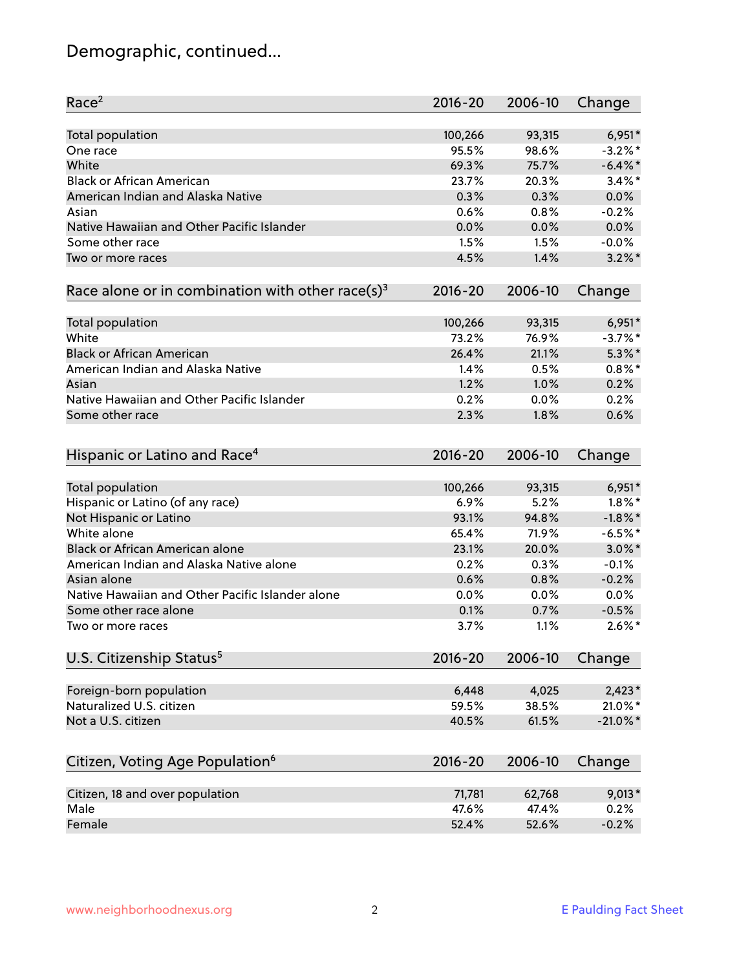# Demographic, continued...

| Race <sup>2</sup>                                            | $2016 - 20$ | 2006-10 | Change      |
|--------------------------------------------------------------|-------------|---------|-------------|
| Total population                                             | 100,266     | 93,315  | $6,951*$    |
| One race                                                     | 95.5%       | 98.6%   | $-3.2\%$ *  |
| White                                                        | 69.3%       | 75.7%   | $-6.4\%$ *  |
| <b>Black or African American</b>                             | 23.7%       | 20.3%   | $3.4\%$ *   |
| American Indian and Alaska Native                            | 0.3%        | 0.3%    | 0.0%        |
| Asian                                                        | 0.6%        | 0.8%    | $-0.2%$     |
| Native Hawaiian and Other Pacific Islander                   | 0.0%        | 0.0%    | 0.0%        |
| Some other race                                              | 1.5%        | 1.5%    | $-0.0%$     |
| Two or more races                                            | 4.5%        | 1.4%    | $3.2\%$ *   |
| Race alone or in combination with other race(s) <sup>3</sup> | $2016 - 20$ | 2006-10 | Change      |
| Total population                                             | 100,266     | 93,315  | $6,951*$    |
| White                                                        | 73.2%       | 76.9%   | $-3.7%$ *   |
| <b>Black or African American</b>                             | 26.4%       | 21.1%   | $5.3\%$ *   |
| American Indian and Alaska Native                            | 1.4%        | 0.5%    | $0.8\%$ *   |
| Asian                                                        | 1.2%        | 1.0%    | 0.2%        |
| Native Hawaiian and Other Pacific Islander                   | 0.2%        | 0.0%    | 0.2%        |
| Some other race                                              | 2.3%        | 1.8%    | 0.6%        |
|                                                              |             |         |             |
| Hispanic or Latino and Race <sup>4</sup>                     | $2016 - 20$ | 2006-10 | Change      |
| Total population                                             | 100,266     | 93,315  | $6,951*$    |
| Hispanic or Latino (of any race)                             | 6.9%        | 5.2%    | $1.8\%$ *   |
| Not Hispanic or Latino                                       | 93.1%       | 94.8%   | $-1.8\%$ *  |
| White alone                                                  | 65.4%       | 71.9%   | $-6.5%$ *   |
| Black or African American alone                              | 23.1%       | 20.0%   | $3.0\%$ *   |
| American Indian and Alaska Native alone                      | 0.2%        | 0.3%    | $-0.1%$     |
| Asian alone                                                  | 0.6%        | 0.8%    | $-0.2%$     |
| Native Hawaiian and Other Pacific Islander alone             | 0.0%        | 0.0%    | 0.0%        |
| Some other race alone                                        | 0.1%        | 0.7%    | $-0.5%$     |
| Two or more races                                            | 3.7%        | 1.1%    | $2.6\%$ *   |
| U.S. Citizenship Status <sup>5</sup>                         | 2016-20     | 2006-10 | Change      |
| Foreign-born population                                      | 6,448       | 4,025   | $2,423*$    |
| Naturalized U.S. citizen                                     | 59.5%       | 38.5%   | $21.0\%$ *  |
| Not a U.S. citizen                                           | 40.5%       | 61.5%   | $-21.0\%$ * |
|                                                              |             |         |             |
| Citizen, Voting Age Population <sup>6</sup>                  | 2016-20     | 2006-10 | Change      |
| Citizen, 18 and over population                              | 71,781      | 62,768  | $9,013*$    |
| Male                                                         | 47.6%       | 47.4%   | 0.2%        |
| Female                                                       | 52.4%       | 52.6%   | $-0.2%$     |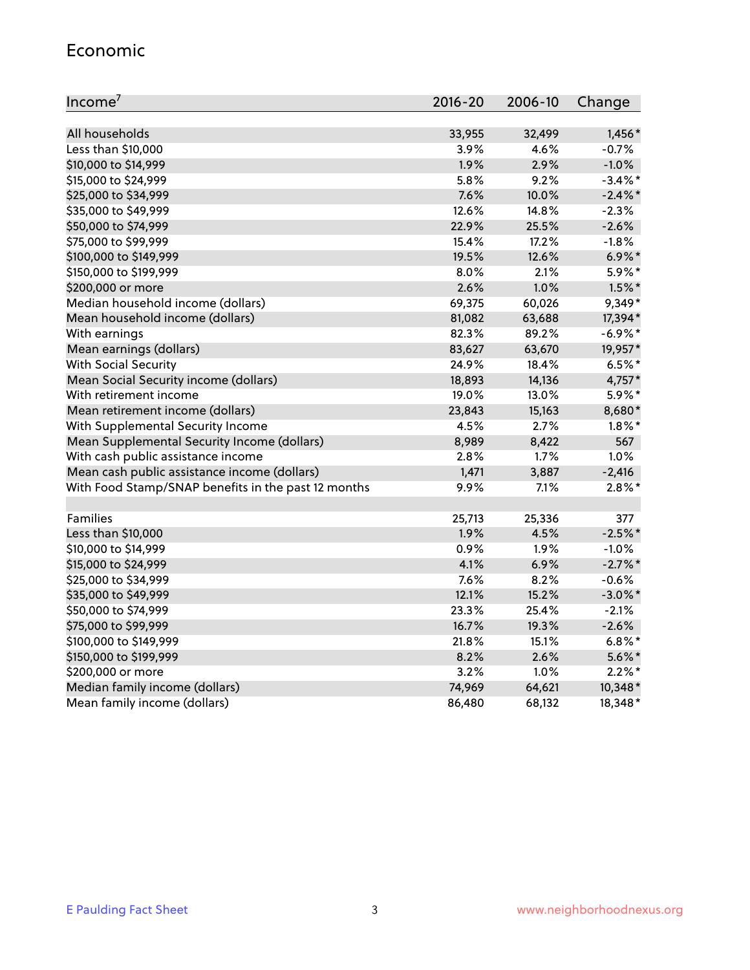#### Economic

| Income <sup>7</sup>                                 | $2016 - 20$ | 2006-10 | Change     |
|-----------------------------------------------------|-------------|---------|------------|
|                                                     |             |         |            |
| All households                                      | 33,955      | 32,499  | $1,456*$   |
| Less than \$10,000                                  | 3.9%        | 4.6%    | $-0.7%$    |
| \$10,000 to \$14,999                                | 1.9%        | 2.9%    | $-1.0%$    |
| \$15,000 to \$24,999                                | 5.8%        | 9.2%    | $-3.4\%$ * |
| \$25,000 to \$34,999                                | 7.6%        | 10.0%   | $-2.4\%$ * |
| \$35,000 to \$49,999                                | 12.6%       | 14.8%   | $-2.3%$    |
| \$50,000 to \$74,999                                | 22.9%       | 25.5%   | $-2.6%$    |
| \$75,000 to \$99,999                                | 15.4%       | 17.2%   | $-1.8%$    |
| \$100,000 to \$149,999                              | 19.5%       | 12.6%   | $6.9\%$ *  |
| \$150,000 to \$199,999                              | 8.0%        | 2.1%    | 5.9%*      |
| \$200,000 or more                                   | 2.6%        | 1.0%    | $1.5\%$ *  |
| Median household income (dollars)                   | 69,375      | 60,026  | 9,349*     |
| Mean household income (dollars)                     | 81,082      | 63,688  | 17,394*    |
| With earnings                                       | 82.3%       | 89.2%   | $-6.9%$ *  |
| Mean earnings (dollars)                             | 83,627      | 63,670  | 19,957*    |
| <b>With Social Security</b>                         | 24.9%       | 18.4%   | $6.5%$ *   |
| Mean Social Security income (dollars)               | 18,893      | 14,136  | 4,757*     |
| With retirement income                              | 19.0%       | 13.0%   | 5.9%*      |
| Mean retirement income (dollars)                    | 23,843      | 15,163  | 8,680*     |
| With Supplemental Security Income                   | 4.5%        | 2.7%    | $1.8\%$ *  |
| Mean Supplemental Security Income (dollars)         | 8,989       | 8,422   | 567        |
| With cash public assistance income                  | 2.8%        | 1.7%    | 1.0%       |
| Mean cash public assistance income (dollars)        | 1,471       | 3,887   | $-2,416$   |
| With Food Stamp/SNAP benefits in the past 12 months | 9.9%        | 7.1%    | $2.8\%$ *  |
|                                                     |             |         |            |
| Families                                            | 25,713      | 25,336  | 377        |
| Less than \$10,000                                  | 1.9%        | 4.5%    | $-2.5%$ *  |
| \$10,000 to \$14,999                                | 0.9%        | 1.9%    | $-1.0%$    |
| \$15,000 to \$24,999                                | 4.1%        | 6.9%    | $-2.7%$ *  |
| \$25,000 to \$34,999                                | 7.6%        | 8.2%    | $-0.6%$    |
| \$35,000 to \$49,999                                | 12.1%       | 15.2%   | $-3.0\%$ * |
| \$50,000 to \$74,999                                | 23.3%       | 25.4%   | $-2.1%$    |
| \$75,000 to \$99,999                                | 16.7%       | 19.3%   | $-2.6%$    |
| \$100,000 to \$149,999                              | 21.8%       | 15.1%   | $6.8\%$ *  |
| \$150,000 to \$199,999                              | 8.2%        | 2.6%    | $5.6\%$ *  |
| \$200,000 or more                                   | 3.2%        | 1.0%    | $2.2\%$ *  |
| Median family income (dollars)                      | 74,969      | 64,621  | 10,348*    |
| Mean family income (dollars)                        | 86,480      | 68,132  | 18,348*    |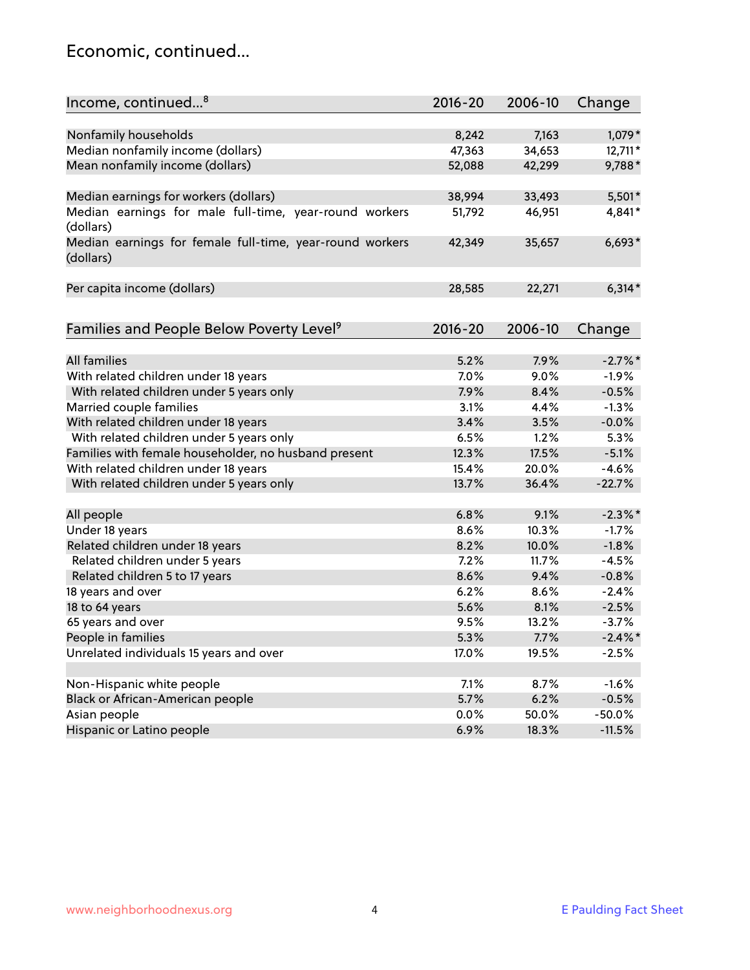### Economic, continued...

| Income, continued <sup>8</sup>                                        | $2016 - 20$ | 2006-10 | Change     |
|-----------------------------------------------------------------------|-------------|---------|------------|
|                                                                       |             |         |            |
| Nonfamily households                                                  | 8,242       | 7,163   | 1,079*     |
| Median nonfamily income (dollars)                                     | 47,363      | 34,653  | 12,711*    |
| Mean nonfamily income (dollars)                                       | 52,088      | 42,299  | 9,788*     |
| Median earnings for workers (dollars)                                 | 38,994      | 33,493  | 5,501*     |
| Median earnings for male full-time, year-round workers                | 51,792      | 46,951  | 4,841*     |
| (dollars)                                                             |             |         |            |
| Median earnings for female full-time, year-round workers<br>(dollars) | 42,349      | 35,657  | $6,693*$   |
| Per capita income (dollars)                                           | 28,585      | 22,271  | $6,314*$   |
|                                                                       |             |         |            |
| Families and People Below Poverty Level <sup>9</sup>                  | 2016-20     | 2006-10 | Change     |
|                                                                       |             |         |            |
| <b>All families</b>                                                   | 5.2%        | 7.9%    | $-2.7\%$ * |
| With related children under 18 years                                  | 7.0%        | 9.0%    | $-1.9%$    |
| With related children under 5 years only                              | 7.9%        | 8.4%    | $-0.5%$    |
| Married couple families                                               | 3.1%        | 4.4%    | $-1.3%$    |
| With related children under 18 years                                  | 3.4%        | 3.5%    | $-0.0%$    |
| With related children under 5 years only                              | 6.5%        | 1.2%    | 5.3%       |
| Families with female householder, no husband present                  | 12.3%       | 17.5%   | $-5.1%$    |
| With related children under 18 years                                  | 15.4%       | 20.0%   | $-4.6%$    |
| With related children under 5 years only                              | 13.7%       | 36.4%   | $-22.7%$   |
| All people                                                            | 6.8%        | 9.1%    | $-2.3\%$ * |
| Under 18 years                                                        | 8.6%        | 10.3%   | $-1.7%$    |
| Related children under 18 years                                       | 8.2%        | 10.0%   | $-1.8%$    |
| Related children under 5 years                                        | 7.2%        | 11.7%   | $-4.5%$    |
| Related children 5 to 17 years                                        | 8.6%        | 9.4%    | $-0.8%$    |
| 18 years and over                                                     | 6.2%        | 8.6%    | $-2.4%$    |
| 18 to 64 years                                                        | 5.6%        | 8.1%    | $-2.5%$    |
| 65 years and over                                                     | 9.5%        | 13.2%   | $-3.7%$    |
| People in families                                                    | 5.3%        | 7.7%    | $-2.4\%$ * |
| Unrelated individuals 15 years and over                               | 17.0%       | 19.5%   | $-2.5%$    |
|                                                                       |             |         |            |
| Non-Hispanic white people                                             | 7.1%        | 8.7%    | $-1.6%$    |
| Black or African-American people                                      | 5.7%        | 6.2%    | $-0.5%$    |
| Asian people                                                          | $0.0\%$     | 50.0%   | $-50.0%$   |
| Hispanic or Latino people                                             | 6.9%        | 18.3%   | $-11.5%$   |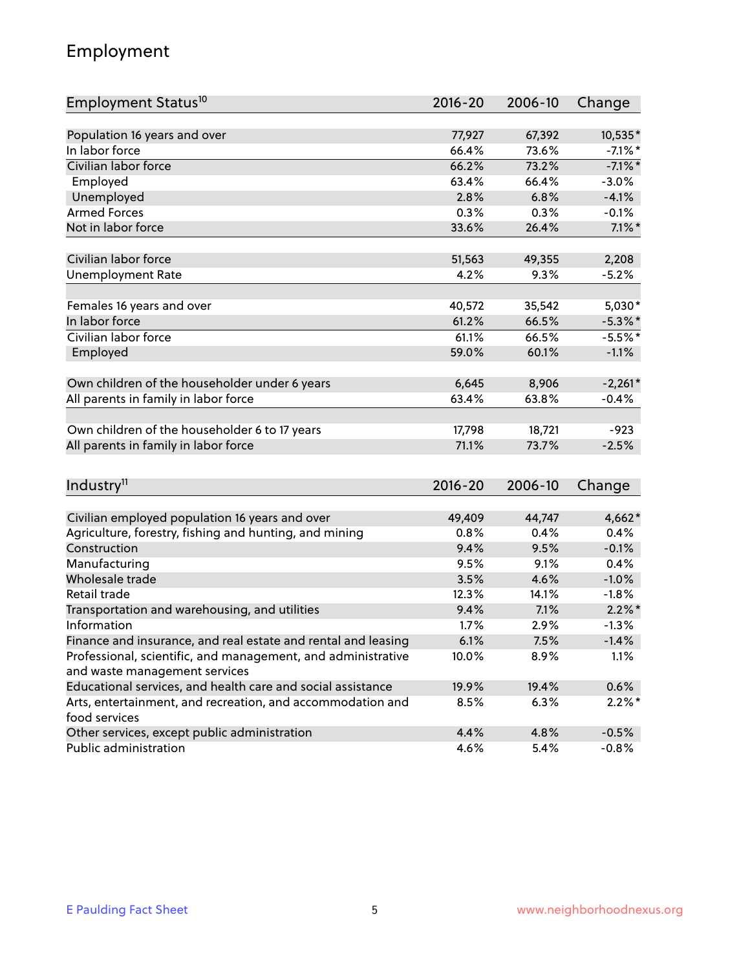### Employment

| Employment Status <sup>10</sup>                                                               | $2016 - 20$ | 2006-10 | Change     |
|-----------------------------------------------------------------------------------------------|-------------|---------|------------|
|                                                                                               |             |         |            |
| Population 16 years and over                                                                  | 77,927      | 67,392  | 10,535*    |
| In labor force                                                                                | 66.4%       | 73.6%   | $-7.1\%$ * |
| Civilian labor force                                                                          | 66.2%       | 73.2%   | $-7.1\%$ * |
| Employed                                                                                      | 63.4%       | 66.4%   | $-3.0%$    |
| Unemployed                                                                                    | 2.8%        | 6.8%    | $-4.1%$    |
| <b>Armed Forces</b>                                                                           | 0.3%        | 0.3%    | $-0.1%$    |
| Not in labor force                                                                            | 33.6%       | 26.4%   | $7.1\%$ *  |
| Civilian labor force                                                                          | 51,563      | 49,355  | 2,208      |
|                                                                                               | 4.2%        | 9.3%    | $-5.2%$    |
| <b>Unemployment Rate</b>                                                                      |             |         |            |
| Females 16 years and over                                                                     | 40,572      | 35,542  | $5,030*$   |
| In labor force                                                                                | 61.2%       | 66.5%   | $-5.3\%$ * |
| Civilian labor force                                                                          | 61.1%       | 66.5%   | $-5.5%$ *  |
| Employed                                                                                      | 59.0%       | 60.1%   | $-1.1%$    |
|                                                                                               |             |         |            |
| Own children of the householder under 6 years                                                 | 6,645       | 8,906   | $-2,261*$  |
| All parents in family in labor force                                                          | 63.4%       | 63.8%   | $-0.4%$    |
| Own children of the householder 6 to 17 years                                                 | 17,798      | 18,721  | $-923$     |
| All parents in family in labor force                                                          | 71.1%       | 73.7%   | $-2.5%$    |
|                                                                                               |             |         |            |
| Industry <sup>11</sup>                                                                        | $2016 - 20$ | 2006-10 | Change     |
|                                                                                               |             |         |            |
| Civilian employed population 16 years and over                                                | 49,409      | 44,747  | $4,662*$   |
| Agriculture, forestry, fishing and hunting, and mining                                        | 0.8%        | 0.4%    | 0.4%       |
| Construction                                                                                  | 9.4%        | 9.5%    | $-0.1%$    |
| Manufacturing                                                                                 | 9.5%        | 9.1%    | 0.4%       |
| Wholesale trade                                                                               | 3.5%        | 4.6%    | $-1.0%$    |
| Retail trade                                                                                  | 12.3%       | 14.1%   | $-1.8%$    |
| Transportation and warehousing, and utilities                                                 | 9.4%        | 7.1%    | $2.2\%$ *  |
| Information                                                                                   | 1.7%        | 2.9%    | $-1.3%$    |
| Finance and insurance, and real estate and rental and leasing                                 | 6.1%        | 7.5%    | $-1.4%$    |
| Professional, scientific, and management, and administrative<br>and waste management services | 10.0%       | 8.9%    | 1.1%       |
| Educational services, and health care and social assistance                                   | 19.9%       | 19.4%   | 0.6%       |
| Arts, entertainment, and recreation, and accommodation and                                    | 8.5%        | 6.3%    | $2.2\%$ *  |
| food services                                                                                 |             |         |            |
| Other services, except public administration                                                  | 4.4%        | 4.8%    | $-0.5%$    |
| Public administration                                                                         | 4.6%        | 5.4%    | $-0.8%$    |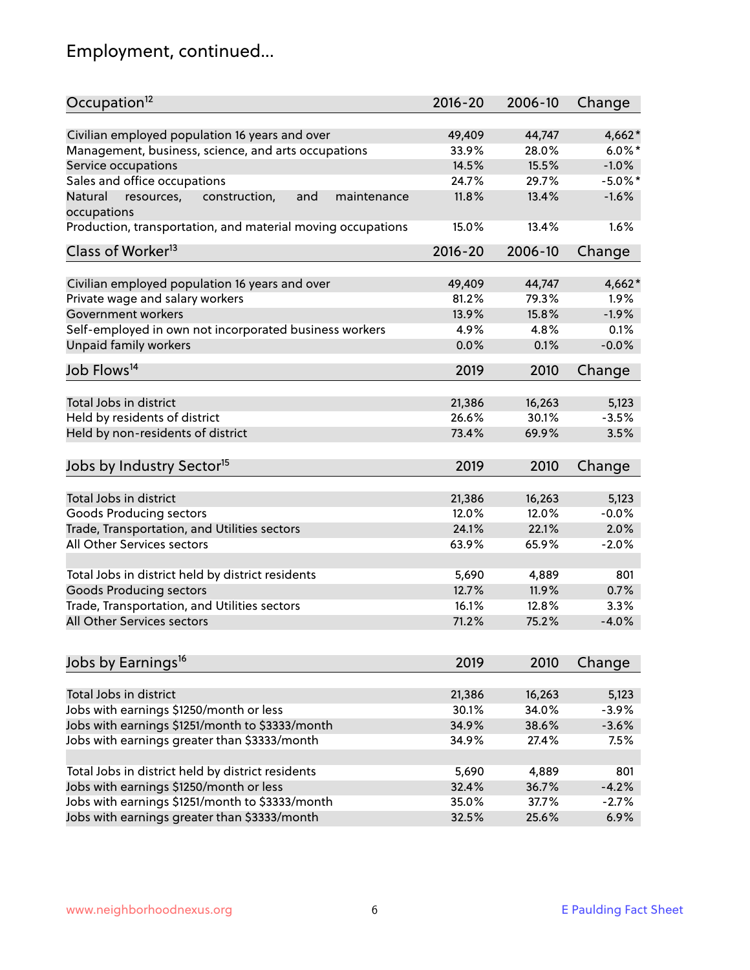# Employment, continued...

| Occupation <sup>12</sup>                                     | $2016 - 20$ | 2006-10 | Change     |
|--------------------------------------------------------------|-------------|---------|------------|
| Civilian employed population 16 years and over               | 49,409      | 44,747  | $4,662*$   |
| Management, business, science, and arts occupations          | 33.9%       | 28.0%   | $6.0\%$ *  |
| Service occupations                                          | 14.5%       | 15.5%   | $-1.0%$    |
| Sales and office occupations                                 | 24.7%       | 29.7%   | $-5.0\%$ * |
| Natural<br>and<br>maintenance<br>resources,<br>construction, | 11.8%       | 13.4%   | $-1.6%$    |
| occupations                                                  |             |         |            |
| Production, transportation, and material moving occupations  | 15.0%       | 13.4%   | 1.6%       |
| Class of Worker <sup>13</sup>                                | $2016 - 20$ | 2006-10 | Change     |
| Civilian employed population 16 years and over               | 49,409      | 44,747  | $4,662*$   |
| Private wage and salary workers                              | 81.2%       | 79.3%   | 1.9%       |
| Government workers                                           | 13.9%       | 15.8%   | $-1.9%$    |
| Self-employed in own not incorporated business workers       | 4.9%        | 4.8%    | 0.1%       |
| Unpaid family workers                                        | 0.0%        | 0.1%    | $-0.0%$    |
| Job Flows <sup>14</sup>                                      | 2019        | 2010    | Change     |
|                                                              |             |         |            |
| Total Jobs in district                                       | 21,386      | 16,263  | 5,123      |
| Held by residents of district                                | 26.6%       | 30.1%   | $-3.5%$    |
| Held by non-residents of district                            | 73.4%       | 69.9%   | 3.5%       |
| Jobs by Industry Sector <sup>15</sup>                        | 2019        | 2010    | Change     |
| Total Jobs in district                                       | 21,386      | 16,263  | 5,123      |
| Goods Producing sectors                                      | 12.0%       | 12.0%   | $-0.0%$    |
| Trade, Transportation, and Utilities sectors                 | 24.1%       | 22.1%   | 2.0%       |
| All Other Services sectors                                   | 63.9%       | 65.9%   | $-2.0%$    |
|                                                              |             |         |            |
| Total Jobs in district held by district residents            | 5,690       | 4,889   | 801        |
| <b>Goods Producing sectors</b>                               | 12.7%       | 11.9%   | 0.7%       |
| Trade, Transportation, and Utilities sectors                 | 16.1%       | 12.8%   | 3.3%       |
| All Other Services sectors                                   | 71.2%       | 75.2%   | $-4.0%$    |
|                                                              |             |         |            |
| Jobs by Earnings <sup>16</sup>                               | 2019        | 2010    | Change     |
| Total Jobs in district                                       | 21,386      | 16,263  | 5,123      |
| Jobs with earnings \$1250/month or less                      | 30.1%       | 34.0%   | $-3.9%$    |
| Jobs with earnings \$1251/month to \$3333/month              | 34.9%       | 38.6%   | $-3.6%$    |
| Jobs with earnings greater than \$3333/month                 | 34.9%       | 27.4%   | 7.5%       |
|                                                              |             |         |            |
| Total Jobs in district held by district residents            | 5,690       | 4,889   | 801        |
| Jobs with earnings \$1250/month or less                      | 32.4%       | 36.7%   | $-4.2%$    |
| Jobs with earnings \$1251/month to \$3333/month              | 35.0%       | 37.7%   | $-2.7%$    |
| Jobs with earnings greater than \$3333/month                 | 32.5%       | 25.6%   | 6.9%       |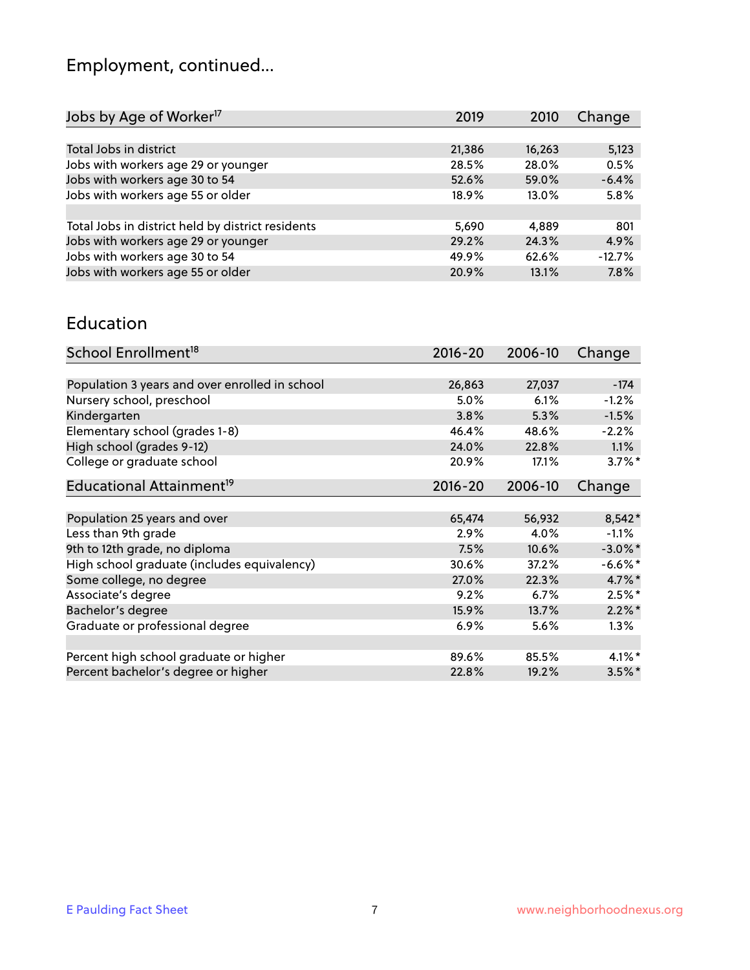# Employment, continued...

| Jobs by Age of Worker <sup>17</sup>               | 2019   | 2010   | Change   |
|---------------------------------------------------|--------|--------|----------|
|                                                   |        |        |          |
| Total Jobs in district                            | 21,386 | 16,263 | 5,123    |
| Jobs with workers age 29 or younger               | 28.5%  | 28.0%  | 0.5%     |
| Jobs with workers age 30 to 54                    | 52.6%  | 59.0%  | $-6.4%$  |
| Jobs with workers age 55 or older                 | 18.9%  | 13.0%  | 5.8%     |
|                                                   |        |        |          |
| Total Jobs in district held by district residents | 5,690  | 4.889  | 801      |
| Jobs with workers age 29 or younger               | 29.2%  | 24.3%  | 4.9%     |
| Jobs with workers age 30 to 54                    | 49.9%  | 62.6%  | $-12.7%$ |
| Jobs with workers age 55 or older                 | 20.9%  | 13.1%  | 7.8%     |
|                                                   |        |        |          |

#### Education

| School Enrollment <sup>18</sup>                | $2016 - 20$ | 2006-10 | Change     |
|------------------------------------------------|-------------|---------|------------|
|                                                |             |         |            |
| Population 3 years and over enrolled in school | 26,863      | 27,037  | $-174$     |
| Nursery school, preschool                      | $5.0\%$     | 6.1%    | $-1.2%$    |
| Kindergarten                                   | 3.8%        | 5.3%    | $-1.5%$    |
| Elementary school (grades 1-8)                 | 46.4%       | 48.6%   | $-2.2%$    |
| High school (grades 9-12)                      | 24.0%       | 22.8%   | $1.1\%$    |
| College or graduate school                     | 20.9%       | 17.1%   | $3.7\%$ *  |
| Educational Attainment <sup>19</sup>           | $2016 - 20$ | 2006-10 | Change     |
|                                                |             |         |            |
| Population 25 years and over                   | 65,474      | 56,932  | $8,542*$   |
| Less than 9th grade                            | 2.9%        | 4.0%    | $-1.1%$    |
| 9th to 12th grade, no diploma                  | 7.5%        | 10.6%   | $-3.0\%$ * |
| High school graduate (includes equivalency)    | 30.6%       | 37.2%   | $-6.6%$ *  |
| Some college, no degree                        | 27.0%       | 22.3%   | 4.7%*      |
| Associate's degree                             | 9.2%        | 6.7%    | $2.5%$ *   |
| Bachelor's degree                              | 15.9%       | 13.7%   | $2.2\%$ *  |
| Graduate or professional degree                | $6.9\%$     | 5.6%    | 1.3%       |
|                                                |             |         |            |
| Percent high school graduate or higher         | 89.6%       | 85.5%   | $4.1\%$ *  |
| Percent bachelor's degree or higher            | 22.8%       | 19.2%   | $3.5\%$ *  |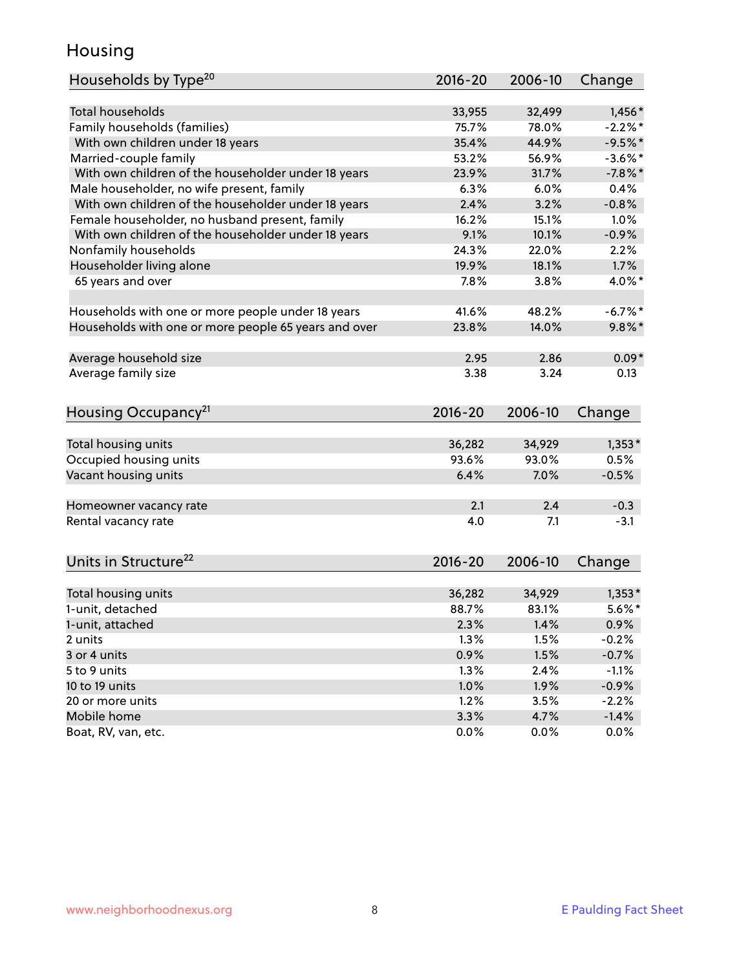### Housing

| Households by Type <sup>20</sup>                     | 2016-20 | 2006-10 | Change     |
|------------------------------------------------------|---------|---------|------------|
|                                                      |         |         |            |
| <b>Total households</b>                              | 33,955  | 32,499  | $1,456*$   |
| Family households (families)                         | 75.7%   | 78.0%   | $-2.2%$    |
| With own children under 18 years                     | 35.4%   | 44.9%   | $-9.5%$ *  |
| Married-couple family                                | 53.2%   | 56.9%   | $-3.6\%$ * |
| With own children of the householder under 18 years  | 23.9%   | 31.7%   | $-7.8%$    |
| Male householder, no wife present, family            | 6.3%    | 6.0%    | 0.4%       |
| With own children of the householder under 18 years  | 2.4%    | 3.2%    | $-0.8%$    |
| Female householder, no husband present, family       | 16.2%   | 15.1%   | 1.0%       |
| With own children of the householder under 18 years  | 9.1%    | 10.1%   | $-0.9%$    |
| Nonfamily households                                 | 24.3%   | 22.0%   | 2.2%       |
| Householder living alone                             | 19.9%   | 18.1%   | 1.7%       |
| 65 years and over                                    | 7.8%    | 3.8%    | 4.0%*      |
|                                                      |         |         |            |
| Households with one or more people under 18 years    | 41.6%   | 48.2%   | $-6.7%$ *  |
| Households with one or more people 65 years and over | 23.8%   | 14.0%   | $9.8\%$ *  |
| Average household size                               | 2.95    | 2.86    | $0.09*$    |
| Average family size                                  | 3.38    | 3.24    | 0.13       |
|                                                      |         |         |            |
| Housing Occupancy <sup>21</sup>                      | 2016-20 | 2006-10 | Change     |
| Total housing units                                  | 36,282  | 34,929  | $1,353*$   |
| Occupied housing units                               | 93.6%   | 93.0%   | 0.5%       |
| Vacant housing units                                 | 6.4%    | 7.0%    | $-0.5%$    |
|                                                      |         |         |            |
| Homeowner vacancy rate                               | 2.1     | 2.4     | $-0.3$     |
| Rental vacancy rate                                  | 4.0     | 7.1     | $-3.1$     |
|                                                      |         |         |            |
| Units in Structure <sup>22</sup>                     | 2016-20 | 2006-10 | Change     |
| Total housing units                                  | 36,282  | 34,929  | $1,353*$   |
| 1-unit, detached                                     | 88.7%   | 83.1%   | $5.6\%$ *  |
| 1-unit, attached                                     | 2.3%    | 1.4%    | $0.9\%$    |
| 2 units                                              | 1.3%    | 1.5%    | $-0.2%$    |
| 3 or 4 units                                         | 0.9%    | 1.5%    | $-0.7%$    |
| 5 to 9 units                                         | 1.3%    | 2.4%    | $-1.1%$    |
| 10 to 19 units                                       | 1.0%    | 1.9%    | $-0.9%$    |
| 20 or more units                                     | 1.2%    | 3.5%    | $-2.2%$    |
| Mobile home                                          | 3.3%    | 4.7%    | $-1.4%$    |
| Boat, RV, van, etc.                                  | 0.0%    | $0.0\%$ | $0.0\%$    |
|                                                      |         |         |            |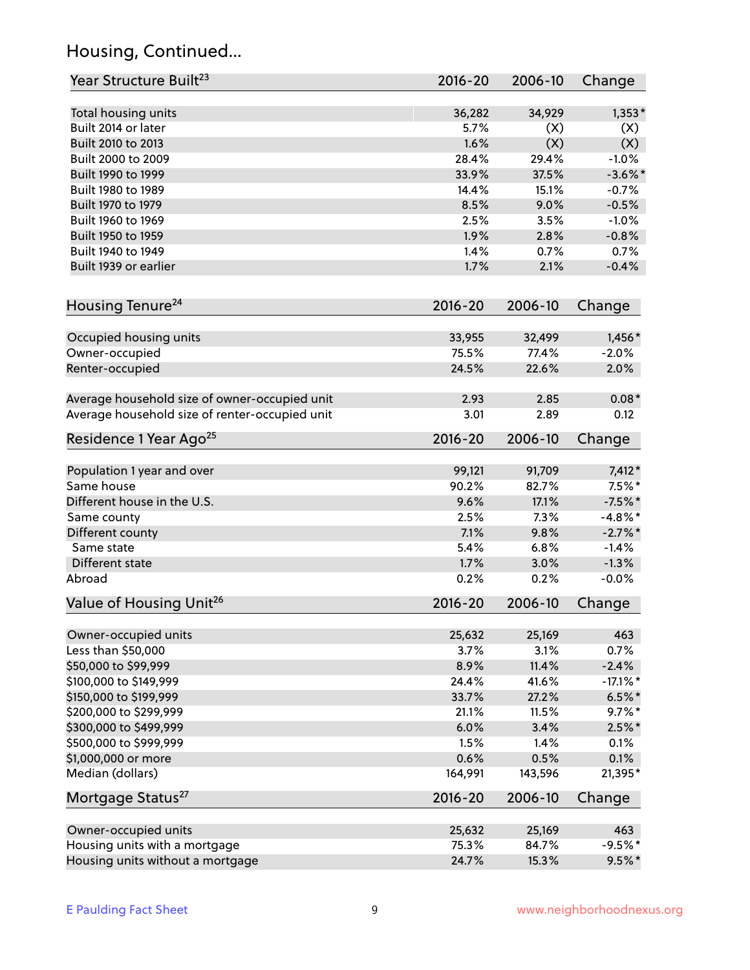### Housing, Continued...

| Year Structure Built <sup>23</sup>             | 2016-20     | 2006-10 | Change      |
|------------------------------------------------|-------------|---------|-------------|
| Total housing units                            | 36,282      | 34,929  | $1,353*$    |
| Built 2014 or later                            | 5.7%        | (X)     | (X)         |
| Built 2010 to 2013                             | 1.6%        | (X)     | (X)         |
| Built 2000 to 2009                             | 28.4%       | 29.4%   | $-1.0%$     |
| Built 1990 to 1999                             | 33.9%       | 37.5%   | $-3.6\%$ *  |
| Built 1980 to 1989                             | 14.4%       | 15.1%   | $-0.7%$     |
| Built 1970 to 1979                             | 8.5%        | 9.0%    | $-0.5%$     |
| Built 1960 to 1969                             | 2.5%        | 3.5%    | $-1.0%$     |
| Built 1950 to 1959                             | 1.9%        | 2.8%    | $-0.8%$     |
| Built 1940 to 1949                             | 1.4%        | 0.7%    | 0.7%        |
| Built 1939 or earlier                          | 1.7%        | 2.1%    | $-0.4%$     |
|                                                |             |         |             |
| Housing Tenure <sup>24</sup>                   | $2016 - 20$ | 2006-10 | Change      |
|                                                |             |         |             |
| Occupied housing units                         | 33,955      | 32,499  | 1,456 *     |
| Owner-occupied                                 | 75.5%       | 77.4%   | $-2.0%$     |
| Renter-occupied                                | 24.5%       | 22.6%   | 2.0%        |
| Average household size of owner-occupied unit  | 2.93        | 2.85    | $0.08*$     |
| Average household size of renter-occupied unit | 3.01        | 2.89    | 0.12        |
| Residence 1 Year Ago <sup>25</sup>             | $2016 - 20$ | 2006-10 | Change      |
|                                                |             |         |             |
| Population 1 year and over                     | 99,121      | 91,709  | $7,412*$    |
| Same house                                     | 90.2%       | 82.7%   | $7.5\%$ *   |
| Different house in the U.S.                    | 9.6%        | 17.1%   | $-7.5%$ *   |
| Same county                                    | 2.5%        | 7.3%    | $-4.8\%$ *  |
| Different county                               | 7.1%        | 9.8%    | $-2.7\%$ *  |
| Same state                                     | 5.4%        | 6.8%    | $-1.4%$     |
| Different state                                | 1.7%        | 3.0%    | $-1.3%$     |
| Abroad                                         | 0.2%        | 0.2%    | $-0.0%$     |
| Value of Housing Unit <sup>26</sup>            | 2016-20     | 2006-10 | Change      |
| Owner-occupied units                           | 25,632      | 25,169  | 463         |
| Less than \$50,000                             | 3.7%        | 3.1%    | 0.7%        |
| \$50,000 to \$99,999                           | 8.9%        | 11.4%   | $-2.4%$     |
|                                                |             |         |             |
| \$100,000 to \$149,999                         | 24.4%       | 41.6%   | $-17.1\%$ * |
| \$150,000 to \$199,999                         | 33.7%       | 27.2%   | $6.5%$ *    |
| \$200,000 to \$299,999                         | 21.1%       | 11.5%   | $9.7\%$ *   |
| \$300,000 to \$499,999                         | 6.0%        | 3.4%    | $2.5\%$ *   |
| \$500,000 to \$999,999                         | 1.5%        | 1.4%    | 0.1%        |
| \$1,000,000 or more                            | 0.6%        | 0.5%    | 0.1%        |
| Median (dollars)                               | 164,991     | 143,596 | 21,395*     |
| Mortgage Status <sup>27</sup>                  | $2016 - 20$ | 2006-10 | Change      |
| Owner-occupied units                           | 25,632      | 25,169  | 463         |
| Housing units with a mortgage                  | 75.3%       | 84.7%   | $-9.5%$ *   |
| Housing units without a mortgage               | 24.7%       | 15.3%   | $9.5%$ *    |
|                                                |             |         |             |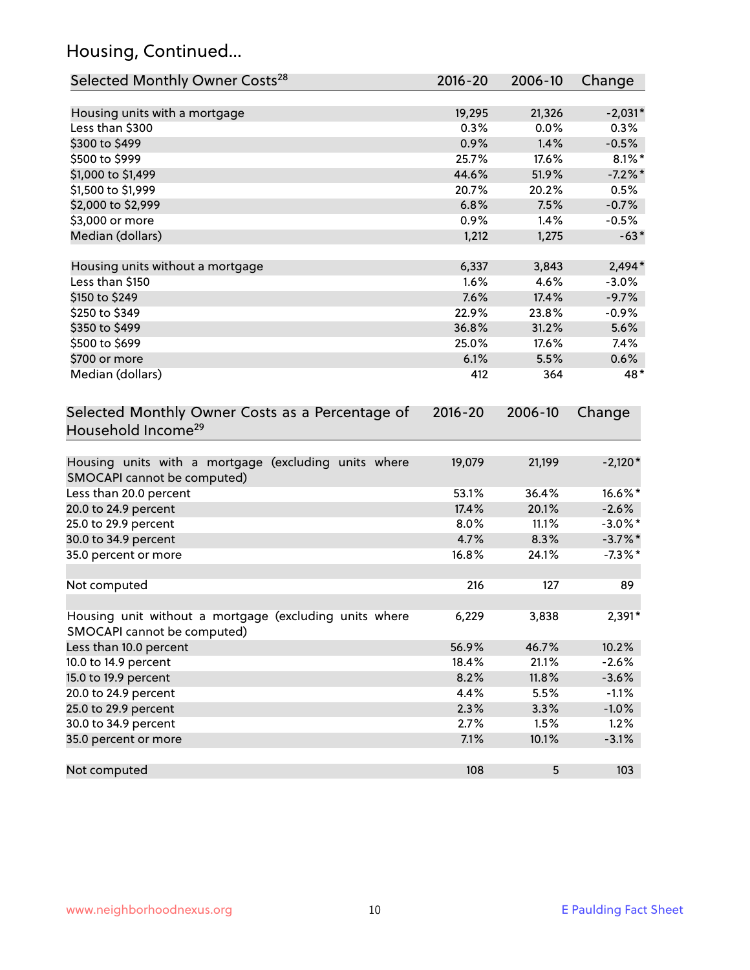### Housing, Continued...

| Selected Monthly Owner Costs <sup>28</sup>                                            | 2016-20     | 2006-10 | Change     |
|---------------------------------------------------------------------------------------|-------------|---------|------------|
| Housing units with a mortgage                                                         | 19,295      | 21,326  | $-2,031*$  |
| Less than \$300                                                                       | 0.3%        | 0.0%    | 0.3%       |
| \$300 to \$499                                                                        | 0.9%        | 1.4%    | $-0.5%$    |
| \$500 to \$999                                                                        | 25.7%       | 17.6%   | $8.1\%$ *  |
| \$1,000 to \$1,499                                                                    | 44.6%       | 51.9%   | $-7.2%$    |
| \$1,500 to \$1,999                                                                    | 20.7%       | 20.2%   | 0.5%       |
| \$2,000 to \$2,999                                                                    | 6.8%        | 7.5%    | $-0.7%$    |
| \$3,000 or more                                                                       | 0.9%        | 1.4%    | $-0.5%$    |
| Median (dollars)                                                                      | 1,212       | 1,275   | $-63*$     |
| Housing units without a mortgage                                                      | 6,337       | 3,843   | $2,494*$   |
| Less than \$150                                                                       | 1.6%        | 4.6%    | $-3.0%$    |
| \$150 to \$249                                                                        | 7.6%        | 17.4%   | $-9.7%$    |
| \$250 to \$349                                                                        | 22.9%       | 23.8%   | $-0.9%$    |
| \$350 to \$499                                                                        | 36.8%       | 31.2%   | 5.6%       |
| \$500 to \$699                                                                        | 25.0%       | 17.6%   | 7.4%       |
| \$700 or more                                                                         | 6.1%        | 5.5%    | 0.6%       |
| Median (dollars)                                                                      | 412         | 364     | 48*        |
| Selected Monthly Owner Costs as a Percentage of<br>Household Income <sup>29</sup>     | $2016 - 20$ |         | Change     |
| Housing units with a mortgage (excluding units where<br>SMOCAPI cannot be computed)   | 19,079      | 21,199  | $-2,120*$  |
| Less than 20.0 percent                                                                | 53.1%       | 36.4%   | 16.6%*     |
| 20.0 to 24.9 percent                                                                  | 17.4%       | 20.1%   | $-2.6%$    |
| 25.0 to 29.9 percent                                                                  | 8.0%        | 11.1%   | $-3.0\%$ * |
| 30.0 to 34.9 percent                                                                  | 4.7%        | 8.3%    | $-3.7\%$ * |
| 35.0 percent or more                                                                  | 16.8%       | 24.1%   | $-7.3\%$ * |
| Not computed                                                                          | 216         | 127     | 89         |
| Housing unit without a mortgage (excluding units where<br>SMOCAPI cannot be computed) | 6,229       | 3,838   | 2,391*     |
| Less than 10.0 percent                                                                | 56.9%       | 46.7%   | 10.2%      |
| 10.0 to 14.9 percent                                                                  | 18.4%       | 21.1%   | $-2.6%$    |
| 15.0 to 19.9 percent                                                                  | 8.2%        | 11.8%   | $-3.6%$    |
| 20.0 to 24.9 percent                                                                  | 4.4%        | 5.5%    | $-1.1%$    |
| 25.0 to 29.9 percent                                                                  | 2.3%        | 3.3%    | $-1.0%$    |
| 30.0 to 34.9 percent                                                                  | 2.7%        | 1.5%    | 1.2%       |
| 35.0 percent or more                                                                  | 7.1%        | 10.1%   | $-3.1%$    |
| Not computed                                                                          | 108         | 5       | 103        |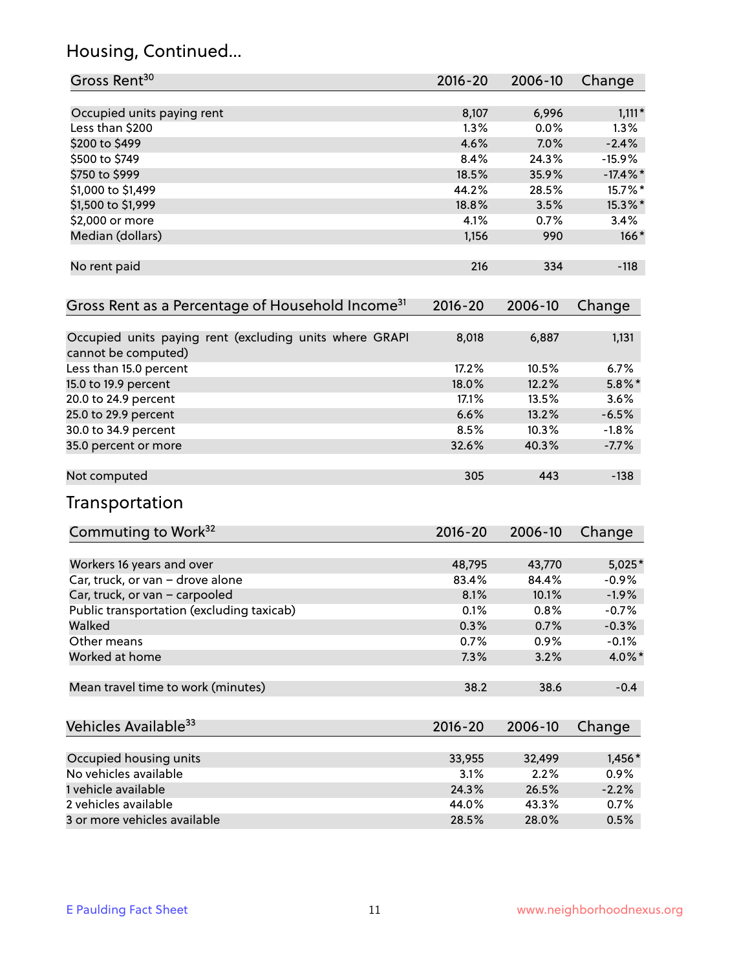### Housing, Continued...

| Gross Rent <sup>30</sup>                                                       | 2016-20 | 2006-10 | Change      |
|--------------------------------------------------------------------------------|---------|---------|-------------|
| Occupied units paying rent                                                     | 8,107   | 6,996   | $1,111*$    |
| Less than \$200                                                                | 1.3%    | 0.0%    | $1.3\%$     |
| \$200 to \$499                                                                 | 4.6%    | 7.0%    | $-2.4%$     |
| \$500 to \$749                                                                 | 8.4%    | 24.3%   | $-15.9%$    |
| \$750 to \$999                                                                 | 18.5%   | 35.9%   | $-17.4\%$ * |
| \$1,000 to \$1,499                                                             | 44.2%   | 28.5%   | 15.7%*      |
| \$1,500 to \$1,999                                                             | 18.8%   | 3.5%    | 15.3%*      |
| \$2,000 or more                                                                | 4.1%    | 0.7%    | 3.4%        |
| Median (dollars)                                                               | 1,156   | 990     | $166*$      |
| No rent paid                                                                   | 216     | 334     | $-118$      |
| Gross Rent as a Percentage of Household Income <sup>31</sup>                   | 2016-20 | 2006-10 | Change      |
| Occupied units paying rent (excluding units where GRAPI<br>cannot be computed) | 8,018   | 6,887   | 1,131       |
| Less than 15.0 percent                                                         | 17.2%   | 10.5%   | 6.7%        |
| 15.0 to 19.9 percent                                                           | 18.0%   | 12.2%   | $5.8\%$ *   |
| 20.0 to 24.9 percent                                                           | 17.1%   | 13.5%   | 3.6%        |
| 25.0 to 29.9 percent                                                           | 6.6%    | 13.2%   | $-6.5%$     |
| 30.0 to 34.9 percent                                                           | 8.5%    | 10.3%   | $-1.8%$     |
| 35.0 percent or more                                                           | 32.6%   | 40.3%   | $-7.7%$     |
| Not computed                                                                   | 305     | 443     | $-138$      |
| Transportation                                                                 |         |         |             |
| Commuting to Work <sup>32</sup>                                                | 2016-20 | 2006-10 | Change      |
| Workers 16 years and over                                                      | 48,795  | 43,770  | $5,025*$    |
| Car, truck, or van - drove alone                                               | 83.4%   | 84.4%   | $-0.9%$     |
| Car, truck, or van - carpooled                                                 | 8.1%    | 10.1%   | $-1.9%$     |
| Public transportation (excluding taxicab)                                      | 0.1%    | 0.8%    | $-0.7%$     |
| Walked                                                                         | 0.3%    | 0.7%    | $-0.3%$     |
| Other means                                                                    | 0.7%    | 0.9%    | $-0.1%$     |
| Worked at home                                                                 | 7.3%    | 3.2%    | 4.0%*       |
| Mean travel time to work (minutes)                                             | 38.2    | 38.6    | $-0.4$      |
| Vehicles Available <sup>33</sup>                                               | 2016-20 | 2006-10 | Change      |
| Occupied housing units                                                         | 33,955  | 32,499  | 1,456*      |
| No vehicles available                                                          | 3.1%    | 2.2%    | 0.9%        |
| 1 vehicle available                                                            | 24.3%   | 26.5%   | $-2.2%$     |
| 2 vehicles available                                                           | 44.0%   | 43.3%   | 0.7%        |
| 3 or more vehicles available                                                   | 28.5%   | 28.0%   | 0.5%        |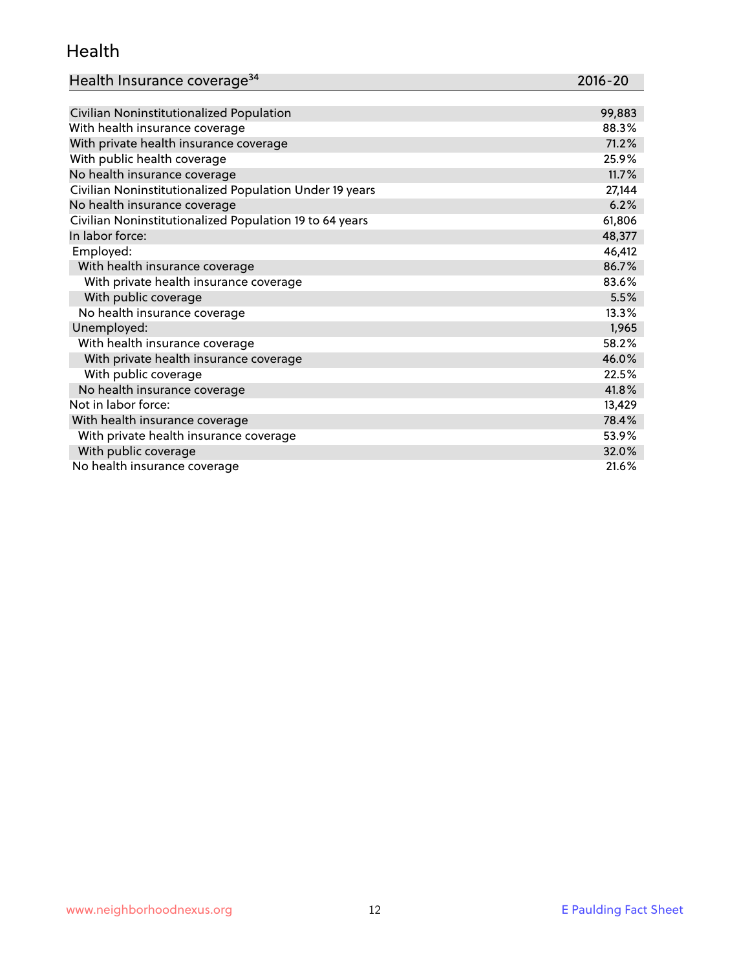### Health

| Health Insurance coverage <sup>34</sup> | 2016-20 |
|-----------------------------------------|---------|
|                                         |         |

| Civilian Noninstitutionalized Population                | 99,883 |
|---------------------------------------------------------|--------|
| With health insurance coverage                          | 88.3%  |
| With private health insurance coverage                  | 71.2%  |
| With public health coverage                             | 25.9%  |
| No health insurance coverage                            | 11.7%  |
| Civilian Noninstitutionalized Population Under 19 years | 27,144 |
| No health insurance coverage                            | 6.2%   |
| Civilian Noninstitutionalized Population 19 to 64 years | 61,806 |
| In labor force:                                         | 48,377 |
| Employed:                                               | 46,412 |
| With health insurance coverage                          | 86.7%  |
| With private health insurance coverage                  | 83.6%  |
| With public coverage                                    | 5.5%   |
| No health insurance coverage                            | 13.3%  |
| Unemployed:                                             | 1,965  |
| With health insurance coverage                          | 58.2%  |
| With private health insurance coverage                  | 46.0%  |
| With public coverage                                    | 22.5%  |
| No health insurance coverage                            | 41.8%  |
| Not in labor force:                                     | 13,429 |
| With health insurance coverage                          | 78.4%  |
| With private health insurance coverage                  | 53.9%  |
| With public coverage                                    | 32.0%  |
| No health insurance coverage                            | 21.6%  |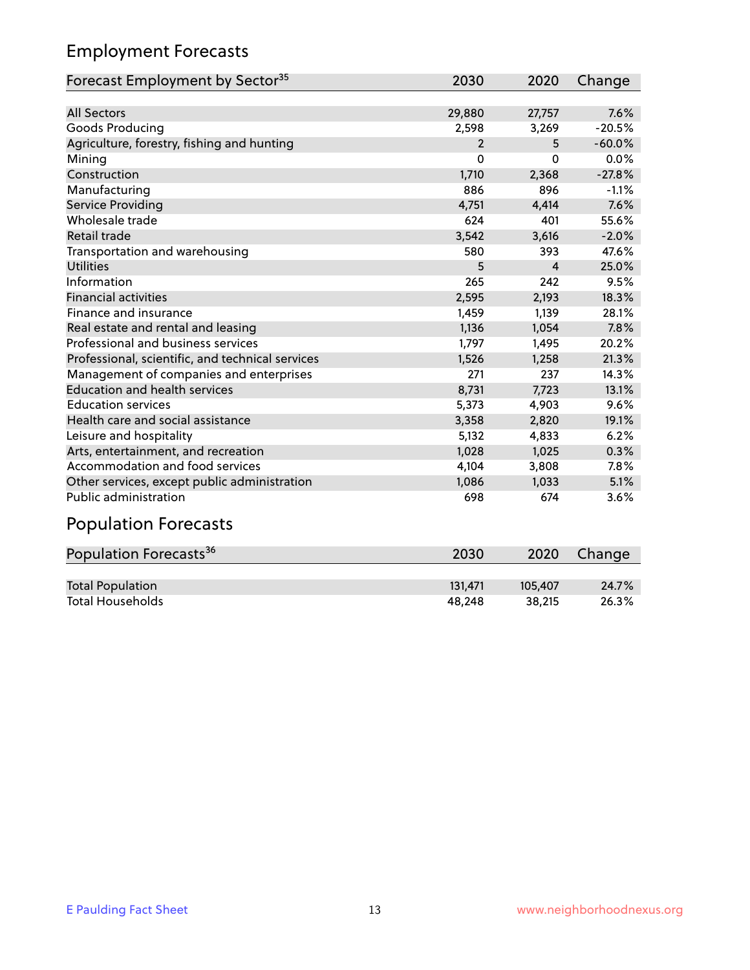### Employment Forecasts

| Forecast Employment by Sector <sup>35</sup>      | 2030           | 2020     | Change   |
|--------------------------------------------------|----------------|----------|----------|
|                                                  |                |          |          |
| <b>All Sectors</b>                               | 29,880         | 27,757   | 7.6%     |
| Goods Producing                                  | 2,598          | 3,269    | $-20.5%$ |
| Agriculture, forestry, fishing and hunting       | $\overline{2}$ | 5        | $-60.0%$ |
| Mining                                           | 0              | $\Omega$ | 0.0%     |
| Construction                                     | 1,710          | 2,368    | $-27.8%$ |
| Manufacturing                                    | 886            | 896      | $-1.1%$  |
| <b>Service Providing</b>                         | 4,751          | 4,414    | 7.6%     |
| Wholesale trade                                  | 624            | 401      | 55.6%    |
| Retail trade                                     | 3,542          | 3,616    | $-2.0%$  |
| Transportation and warehousing                   | 580            | 393      | 47.6%    |
| <b>Utilities</b>                                 | 5              | 4        | 25.0%    |
| Information                                      | 265            | 242      | 9.5%     |
| <b>Financial activities</b>                      | 2,595          | 2,193    | 18.3%    |
| Finance and insurance                            | 1,459          | 1,139    | 28.1%    |
| Real estate and rental and leasing               | 1,136          | 1,054    | 7.8%     |
| Professional and business services               | 1,797          | 1,495    | 20.2%    |
| Professional, scientific, and technical services | 1,526          | 1,258    | 21.3%    |
| Management of companies and enterprises          | 271            | 237      | 14.3%    |
| <b>Education and health services</b>             | 8,731          | 7,723    | 13.1%    |
| <b>Education services</b>                        | 5,373          | 4,903    | 9.6%     |
| Health care and social assistance                | 3,358          | 2,820    | 19.1%    |
| Leisure and hospitality                          | 5,132          | 4,833    | 6.2%     |
| Arts, entertainment, and recreation              | 1,028          | 1,025    | 0.3%     |
| Accommodation and food services                  | 4,104          | 3,808    | 7.8%     |
| Other services, except public administration     | 1,086          | 1,033    | 5.1%     |
| <b>Public administration</b>                     | 698            | 674      | 3.6%     |
| <b>Population Forecasts</b>                      |                |          |          |

| Population Forecasts <sup>36</sup> | 2030    | 2020    | Change |
|------------------------------------|---------|---------|--------|
|                                    |         |         |        |
| <b>Total Population</b>            | 131.471 | 105.407 | 24.7%  |
| <b>Total Households</b>            | 48.248  | 38.215  | 26.3%  |